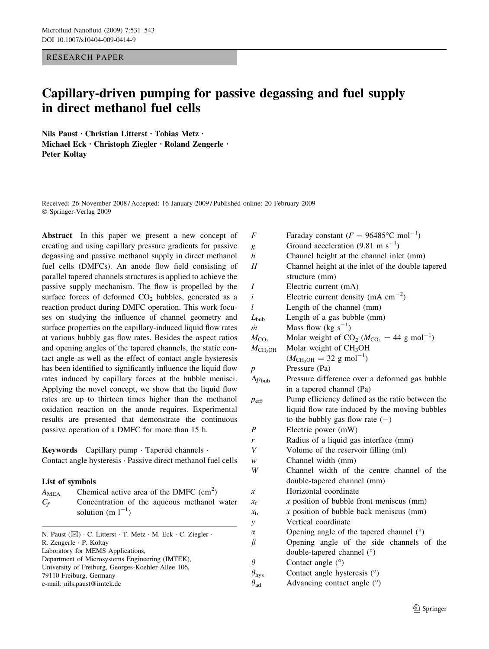RESEARCH PAPER

# Capillary-driven pumping for passive degassing and fuel supply in direct methanol fuel cells

Nils Paust · Christian Litterst · Tobias Metz · Michael Eck · Christoph Ziegler · Roland Zengerle · Peter Koltay

Received: 26 November 2008 / Accepted: 16 January 2009 / Published online: 20 February 2009 Springer-Verlag 2009

Abstract In this paper we present a new concept of creating and using capillary pressure gradients for passive degassing and passive methanol supply in direct methanol fuel cells (DMFCs). An anode flow field consisting of parallel tapered channels structures is applied to achieve the passive supply mechanism. The flow is propelled by the surface forces of deformed  $CO<sub>2</sub>$  bubbles, generated as a reaction product during DMFC operation. This work focuses on studying the influence of channel geometry and surface properties on the capillary-induced liquid flow rates at various bubbly gas flow rates. Besides the aspect ratios and opening angles of the tapered channels, the static contact angle as well as the effect of contact angle hysteresis has been identified to significantly influence the liquid flow rates induced by capillary forces at the bubble menisci. Applying the novel concept, we show that the liquid flow rates are up to thirteen times higher than the methanol oxidation reaction on the anode requires. Experimental results are presented that demonstrate the continuous passive operation of a DMFC for more than 15 h.

Keywords Capillary pump  $\cdot$  Tapered channels  $\cdot$ Contact angle hysteresis  $\cdot$  Passive direct methanol fuel cells

# List of symbols

| $A_{\rm MEA}$ | Chemical active area of the DMFC $\text{(cm}^2\text{)}$ |  |  |  |  |  |
|---------------|---------------------------------------------------------|--|--|--|--|--|
| $C_f$         | Concentration of the aqueous methanol water             |  |  |  |  |  |
|               | solution (m $1^{-1}$ )                                  |  |  |  |  |  |

N. Paust ( $\boxtimes$ ) · C. Litterst · T. Metz · M. Eck · C. Ziegler · R. Zengerle · P. Koltay Laboratory for MEMS Applications, Department of Microsystems Engineering (IMTEK), University of Freiburg, Georges-Koehler-Allee 106, 79110 Freiburg, Germany e-mail: nils.paust@imtek.de

| $\boldsymbol{F}$     | Faraday constant ( $F = 96485$ °C mol <sup>-1</sup> )          |  |  |  |  |
|----------------------|----------------------------------------------------------------|--|--|--|--|
| g                    | Ground acceleration (9.81 m s <sup>-1</sup> )                  |  |  |  |  |
| $\boldsymbol{h}$     | Channel height at the channel inlet (mm)                       |  |  |  |  |
| H                    | Channel height at the inlet of the double tapered              |  |  |  |  |
|                      | structure (mm)                                                 |  |  |  |  |
| Ι                    | Electric current (mA)                                          |  |  |  |  |
| i                    | Electric current density (mA $\text{cm}^{-2}$ )                |  |  |  |  |
| l                    | Length of the channel (mm)                                     |  |  |  |  |
| $L_{\text{bub}}$     | Length of a gas bubble (mm)                                    |  |  |  |  |
| m                    | Mass flow (kg $s^{-1}$ )                                       |  |  |  |  |
| $M_{\text{CO}_2}$    | Molar weight of $CO_2$ ( $M_{CO_2} = 44$ g mol <sup>-1</sup> ) |  |  |  |  |
| $M_{\rm CH_3OH}$     | Molar weight of CH <sub>3</sub> OH                             |  |  |  |  |
|                      | $(M_{\text{CH}_3\text{OH}} = 32 \text{ g mol}^{-1})$           |  |  |  |  |
| $\boldsymbol{p}$     | Pressure (Pa)                                                  |  |  |  |  |
| $\Delta p_{\rm bub}$ | Pressure difference over a deformed gas bubble                 |  |  |  |  |
|                      | in a tapered channel (Pa)                                      |  |  |  |  |
| $p_{\text{eff}}$     | Pump efficiency defined as the ratio between the               |  |  |  |  |
|                      | liquid flow rate induced by the moving bubbles                 |  |  |  |  |
|                      | to the bubbly gas flow rate $(-)$                              |  |  |  |  |
| P                    | Electric power (mW)                                            |  |  |  |  |
| r                    | Radius of a liquid gas interface (mm)                          |  |  |  |  |
| V                    | Volume of the reservoir filling (ml)                           |  |  |  |  |
| w                    | Channel width (mm)                                             |  |  |  |  |
| W                    | Channel width of the centre channel of the                     |  |  |  |  |
|                      | double-tapered channel (mm)                                    |  |  |  |  |
| х                    | Horizontal coordinate                                          |  |  |  |  |
| $x_{f}$              | $x$ position of bubble front meniscus (mm)                     |  |  |  |  |
| $x_{\rm b}$          | $x$ position of bubble back meniscus (mm)                      |  |  |  |  |
| y                    | Vertical coordinate                                            |  |  |  |  |
| α                    | Opening angle of the tapered channel (°)                       |  |  |  |  |
| β                    | Opening angle of the side channels of the                      |  |  |  |  |
|                      | double-tapered channel (°)                                     |  |  |  |  |
| $\theta$             | Contact angle (°)                                              |  |  |  |  |
| $\theta_{\rm hys}$   | Contact angle hysteresis (°)                                   |  |  |  |  |
| $\theta_{\rm ad}$    | Advancing contact angle (°)                                    |  |  |  |  |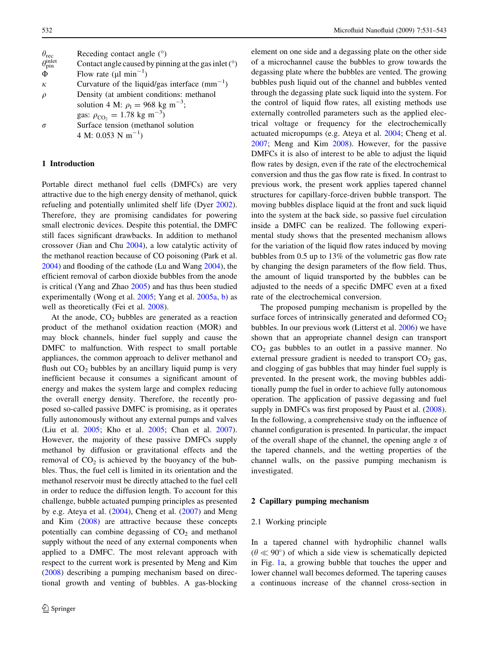<span id="page-1-0"></span>

| $\theta_{\text{rec}}$                | Receding contact angle $(°)$                           |
|--------------------------------------|--------------------------------------------------------|
| $\theta_{\text{pin}}^{\text{inlet}}$ | Contact angle caused by pinning at the gas inlet $(°)$ |
| Φ                                    | Flow rate ( $\mu$ l min <sup>-1</sup> )                |
| $\kappa$                             | Curvature of the liquid/gas interface $(mm^{-1})$      |
| $\rho$                               | Density (at ambient conditions: methanol               |
|                                      | solution 4 M: $\rho_1 = 968 \text{ kg m}^{-3}$ ;       |
|                                      | gas: $\rho_{\text{CO}_2} = 1.78 \text{ kg m}^{-3}$ )   |
| $\sigma$                             | Surface tension (methanol solution                     |
|                                      | 4 M: 0.053 N m <sup>-1</sup> )                         |

# 1 Introduction

Portable direct methanol fuel cells (DMFCs) are very attractive due to the high energy density of methanol, quick refueling and potentially unlimited shelf life (Dyer [2002](#page-11-0)). Therefore, they are promising candidates for powering small electronic devices. Despite this potential, the DMFC still faces significant drawbacks. In addition to methanol crossover (Jian and Chu [2004\)](#page-11-0), a low catalytic activity of the methanol reaction because of CO poisoning (Park et al. [2004\)](#page-12-0) and flooding of the cathode (Lu and Wang [2004\)](#page-11-0), the efficient removal of carbon dioxide bubbles from the anode is critical (Yang and Zhao [2005\)](#page-12-0) and has thus been studied experimentally (Wong et al. [2005](#page-12-0); Yang et al. [2005a](#page-12-0), [b\)](#page-12-0) as well as theoretically (Fei et al. [2008\)](#page-11-0).

At the anode,  $CO<sub>2</sub>$  bubbles are generated as a reaction product of the methanol oxidation reaction (MOR) and may block channels, hinder fuel supply and cause the DMFC to malfunction. With respect to small portable appliances, the common approach to deliver methanol and flush out  $CO<sub>2</sub>$  bubbles by an ancillary liquid pump is very inefficient because it consumes a significant amount of energy and makes the system large and complex reducing the overall energy density. Therefore, the recently proposed so-called passive DMFC is promising, as it operates fully autonomously without any external pumps and valves (Liu et al. [2005;](#page-11-0) Kho et al. [2005;](#page-11-0) Chan et al. [2007](#page-11-0)). However, the majority of these passive DMFCs supply methanol by diffusion or gravitational effects and the removal of  $CO<sub>2</sub>$  is achieved by the buoyancy of the bubbles. Thus, the fuel cell is limited in its orientation and the methanol reservoir must be directly attached to the fuel cell in order to reduce the diffusion length. To account for this challenge, bubble actuated pumping principles as presented by e.g. Ateya et al.  $(2004)$  $(2004)$ , Cheng et al.  $(2007)$  $(2007)$  and Meng and Kim ([2008\)](#page-11-0) are attractive because these concepts potentially can combine degassing of  $CO<sub>2</sub>$  and methanol supply without the need of any external components when applied to a DMFC. The most relevant approach with respect to the current work is presented by Meng and Kim [\(2008](#page-11-0)) describing a pumping mechanism based on directional growth and venting of bubbles. A gas-blocking element on one side and a degassing plate on the other side of a microchannel cause the bubbles to grow towards the degassing plate where the bubbles are vented. The growing bubbles push liquid out of the channel and bubbles vented through the degassing plate suck liquid into the system. For the control of liquid flow rates, all existing methods use externally controlled parameters such as the applied electrical voltage or frequency for the electrochemically actuated micropumps (e.g. Ateya et al. [2004](#page-11-0); Cheng et al. [2007](#page-11-0); Meng and Kim [2008](#page-11-0)). However, for the passive DMFCs it is also of interest to be able to adjust the liquid flow rates by design, even if the rate of the electrochemical conversion and thus the gas flow rate is fixed. In contrast to previous work, the present work applies tapered channel structures for capillary-force-driven bubble transport. The moving bubbles displace liquid at the front and suck liquid into the system at the back side, so passive fuel circulation inside a DMFC can be realized. The following experimental study shows that the presented mechanism allows for the variation of the liquid flow rates induced by moving bubbles from 0.5 up to 13% of the volumetric gas flow rate by changing the design parameters of the flow field. Thus, the amount of liquid transported by the bubbles can be adjusted to the needs of a specific DMFC even at a fixed rate of the electrochemical conversion.

The proposed pumping mechanism is propelled by the surface forces of intrinsically generated and deformed  $CO<sub>2</sub>$ bubbles. In our previous work (Litterst et al. [2006](#page-11-0)) we have shown that an appropriate channel design can transport  $CO<sub>2</sub>$  gas bubbles to an outlet in a passive manner. No external pressure gradient is needed to transport  $CO<sub>2</sub>$  gas, and clogging of gas bubbles that may hinder fuel supply is prevented. In the present work, the moving bubbles additionally pump the fuel in order to achieve fully autonomous operation. The application of passive degassing and fuel supply in DMFCs was first proposed by Paust et al. [\(2008](#page-12-0)). In the following, a comprehensive study on the influence of channel configuration is presented. In particular, the impact of the overall shape of the channel, the opening angle  $\alpha$  of the tapered channels, and the wetting properties of the channel walls, on the passive pumping mechanism is investigated.

#### 2 Capillary pumping mechanism

### 2.1 Working principle

In a tapered channel with hydrophilic channel walls  $(\theta \ll 90^{\circ})$  of which a side view is schematically depicted in Fig. [1](#page-2-0)a, a growing bubble that touches the upper and lower channel wall becomes deformed. The tapering causes a continuous increase of the channel cross-section in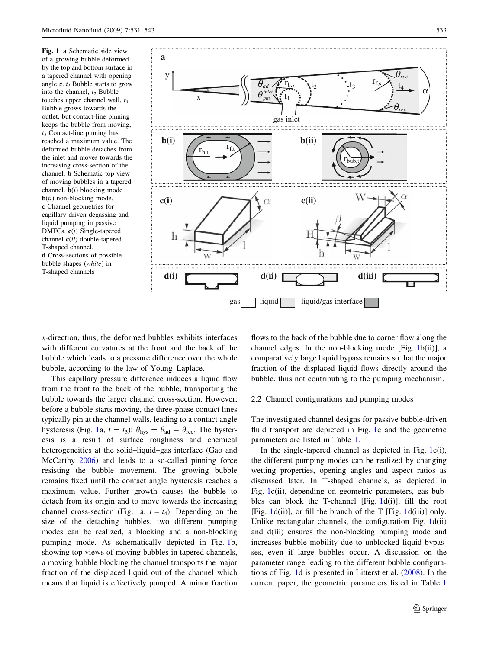<span id="page-2-0"></span>Fig. 1 a Schematic side view of a growing bubble deformed by the top and bottom surface in a tapered channel with opening angle  $\alpha$ .  $t_1$  Bubble starts to grow into the channel,  $t_2$  Bubble touches upper channel wall,  $t_3$ Bubble grows towards the outlet, but contact-line pinning keeps the bubble from moving,  $t_4$  Contact-line pinning has reached a maximum value. The deformed bubble detaches from the inlet and moves towards the increasing cross-section of the channel. b Schematic top view of moving bubbles in a tapered channel.  $\mathbf{b}(i)$  blocking mode  $\mathbf{b}(ii)$  non-blocking mode. c Channel geometries for capillary-driven degassing and liquid pumping in passive DMFCs. c(i) Single-tapered channel  $c(ii)$  double-tapered T-shaped channel. d Cross-sections of possible bubble shapes (white) in T-shaped channels



 $x$ -direction, thus, the deformed bubbles exhibits interfaces with different curvatures at the front and the back of the bubble which leads to a pressure difference over the whole bubble, according to the law of Young–Laplace.

This capillary pressure difference induces a liquid flow from the front to the back of the bubble, transporting the bubble towards the larger channel cross-section. However, before a bubble starts moving, the three-phase contact lines typically pin at the channel walls, leading to a contact angle hysteresis (Fig. 1a,  $t = t_3$ ):  $\theta_{\text{hys}} = \theta_{\text{ad}} - \theta_{\text{rec}}$ . The hysteresis is a result of surface roughness and chemical heterogeneities at the solid–liquid–gas interface (Gao and McCarthy [2006\)](#page-11-0) and leads to a so-called pinning force resisting the bubble movement. The growing bubble remains fixed until the contact angle hysteresis reaches a maximum value. Further growth causes the bubble to detach from its origin and to move towards the increasing channel cross-section (Fig. 1a,  $t = t_4$ ). Depending on the size of the detaching bubbles, two different pumping modes can be realized, a blocking and a non-blocking pumping mode. As schematically depicted in Fig. 1b, showing top views of moving bubbles in tapered channels, a moving bubble blocking the channel transports the major fraction of the displaced liquid out of the channel which means that liquid is effectively pumped. A minor fraction flows to the back of the bubble due to corner flow along the channel edges. In the non-blocking mode [Fig. 1b(ii)], a comparatively large liquid bypass remains so that the major fraction of the displaced liquid flows directly around the bubble, thus not contributing to the pumping mechanism.

#### 2.2 Channel configurations and pumping modes

The investigated channel designs for passive bubble-driven fluid transport are depicted in Fig. 1c and the geometric parameters are listed in Table [1](#page-3-0).

In the single-tapered channel as depicted in Fig. 1c(i), the different pumping modes can be realized by changing wetting properties, opening angles and aspect ratios as discussed later. In T-shaped channels, as depicted in Fig. 1c(ii), depending on geometric parameters, gas bubbles can block the T-channel [Fig. 1d(i)], fill the root [Fig.  $1d(ii)$ ], or fill the branch of the T [Fig.  $1d(iii)$ ] only. Unlike rectangular channels, the configuration Fig. 1d(ii) and d(iii) ensures the non-blocking pumping mode and increases bubble mobility due to unblocked liquid bypasses, even if large bubbles occur. A discussion on the parameter range leading to the different bubble configurations of Fig. 1d is presented in Litterst et al. ([2008\)](#page-11-0). In the current paper, the geometric parameters listed in Table [1](#page-3-0)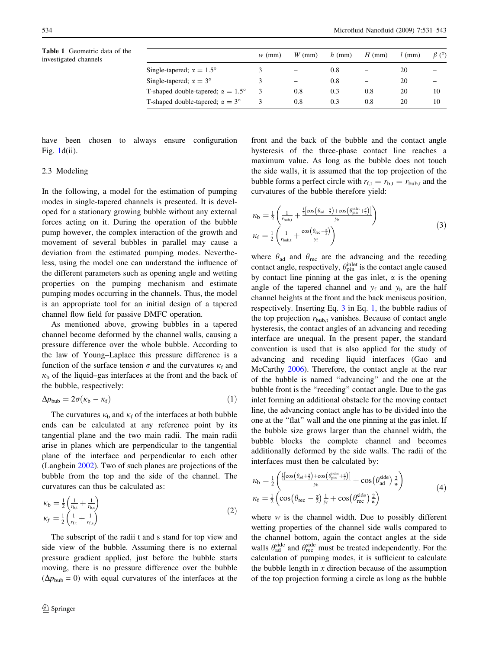Table 1 Geometric data of the

<span id="page-3-0"></span>

| <b>Table 1</b> Geometric data of the<br>investigated channels |                                                 | $w$ (mm) | $W$ (mm)                 | $h$ (mm) | $H$ (mm)          | (mm) | $\beta$ (°) |
|---------------------------------------------------------------|-------------------------------------------------|----------|--------------------------|----------|-------------------|------|-------------|
|                                                               | Single-tapered; $\alpha = 1.5^{\circ}$          |          | $\overline{\phantom{0}}$ | 0.8      | $\qquad \qquad -$ | 20   | -           |
|                                                               | Single-tapered; $\alpha = 3^{\circ}$            |          | $\overline{\phantom{0}}$ | 0.8      | $\equiv$          | 20   | -           |
|                                                               | T-shaped double-tapered; $\alpha = 1.5^{\circ}$ |          | 0.8                      | 0.3      | 0.8               | 20   | 10          |
|                                                               | T-shaped double-tapered; $\alpha = 3^{\circ}$   |          | 0.8                      | 0.3      | 0.8               | 20   | 10          |

have been chosen to always ensure configuration Fig. [1](#page-2-0)d(ii).

# 2.3 Modeling

In the following, a model for the estimation of pumping modes in single-tapered channels is presented. It is developed for a stationary growing bubble without any external forces acting on it. During the operation of the bubble pump however, the complex interaction of the growth and movement of several bubbles in parallel may cause a deviation from the estimated pumping modes. Nevertheless, using the model one can understand the influence of the different parameters such as opening angle and wetting properties on the pumping mechanism and estimate pumping modes occurring in the channels. Thus, the model is an appropriate tool for an initial design of a tapered channel flow field for passive DMFC operation.

As mentioned above, growing bubbles in a tapered channel become deformed by the channel walls, causing a pressure difference over the whole bubble. According to the law of Young–Laplace this pressure difference is a function of the surface tension  $\sigma$  and the curvatures  $\kappa_f$  and  $\kappa_b$  of the liquid–gas interfaces at the front and the back of the bubble, respectively:

$$
\Delta p_{\rm bub} = 2\sigma(\kappa_{\rm b} - \kappa_{\rm f})\tag{1}
$$

The curvatures  $\kappa_b$  and  $\kappa_f$  of the interfaces at both bubble ends can be calculated at any reference point by its tangential plane and the two main radii. The main radii arise in planes which are perpendicular to the tangential plane of the interface and perpendicular to each other (Langbein [2002\)](#page-11-0). Two of such planes are projections of the bubble from the top and the side of the channel. The curvatures can thus be calculated as:

$$
\kappa_{\rm b} = \frac{1}{2} \left( \frac{1}{r_{\rm b,t}} + \frac{1}{r_{\rm b,s}} \right) \n\kappa_f = \frac{1}{2} \left( \frac{1}{r_{\rm f,t}} + \frac{1}{r_{\rm f,s}} \right)
$$
\n(2)

The subscript of the radii t and s stand for top view and side view of the bubble. Assuming there is no external pressure gradient applied, just before the bubble starts moving, there is no pressure difference over the bubble  $(\Delta p_{\text{bub}} = 0)$  with equal curvatures of the interfaces at the

front and the back of the bubble and the contact angle hysteresis of the three-phase contact line reaches a maximum value. As long as the bubble does not touch the side walls, it is assumed that the top projection of the bubble forms a perfect circle with  $r_{f,t} = r_{b,t} = r_{bub,t}$  and the curvatures of the bubble therefore yield:

$$
\kappa_{b} = \frac{1}{2} \left( \frac{1}{r_{\text{bub},t}} + \frac{\frac{1}{2} [\cos(\theta_{ad} + \frac{z}{2}) + \cos(\theta_{\text{pin}}^{\text{inlet}} + \frac{z}{2})]}{y_{b}} \right)
$$
  

$$
\kappa_{f} = \frac{1}{2} \left( \frac{1}{r_{\text{bub},t}} + \frac{\cos(\theta_{\text{rec}} - \frac{z}{2})}{y_{f}} \right)
$$
(3)

where  $\theta_{ad}$  and  $\theta_{rec}$  are the advancing and the receding contact angle, respectively,  $\theta_{\text{pin}}^{\text{inlet}}$  is the contact angle caused by contact line pinning at the gas inlet,  $\alpha$  is the opening angle of the tapered channel and  $y_f$  and  $y_b$  are the half channel heights at the front and the back meniscus position, respectively. Inserting Eq. 3 in Eq. 1, the bubble radius of the top projection  $r_{\text{bub,t}}$  vanishes. Because of contact angle hysteresis, the contact angles of an advancing and receding interface are unequal. In the present paper, the standard convention is used that is also applied for the study of advancing and receding liquid interfaces (Gao and McCarthy [2006\)](#page-11-0). Therefore, the contact angle at the rear of the bubble is named ''advancing'' and the one at the bubble front is the ''receding'' contact angle. Due to the gas inlet forming an additional obstacle for the moving contact line, the advancing contact angle has to be divided into the one at the ''flat'' wall and the one pinning at the gas inlet. If the bubble size grows larger than the channel width, the bubble blocks the complete channel and becomes additionally deformed by the side walls. The radii of the interfaces must then be calculated by:

$$
\kappa_{b} = \frac{1}{2} \left( \frac{\frac{1}{2} \left[ \cos \left( \theta_{ad} + \frac{z}{2} \right) + \cos \left( \theta_{pin}^{inel} + \frac{z}{2} \right) \right]}{y_{b}} + \cos \left( \theta_{ad}^{side} \right) \frac{z}{w} \right)
$$
\n
$$
\kappa_{f} = \frac{1}{2} \left( \cos \left( \theta_{rec} - \frac{z}{2} \right) \frac{1}{y_{f}} + \cos \left( \theta_{rec}^{side} \right) \frac{z}{w} \right)
$$
\n(4)

where  $w$  is the channel width. Due to possibly different wetting properties of the channel side walls compared to the channel bottom, again the contact angles at the side walls  $\theta_{ad}^{side}$  and  $\theta_{rec}^{side}$  must be treated independently. For the calculation of pumping modes, it is sufficient to calculate the bubble length in  $x$  direction because of the assumption of the top projection forming a circle as long as the bubble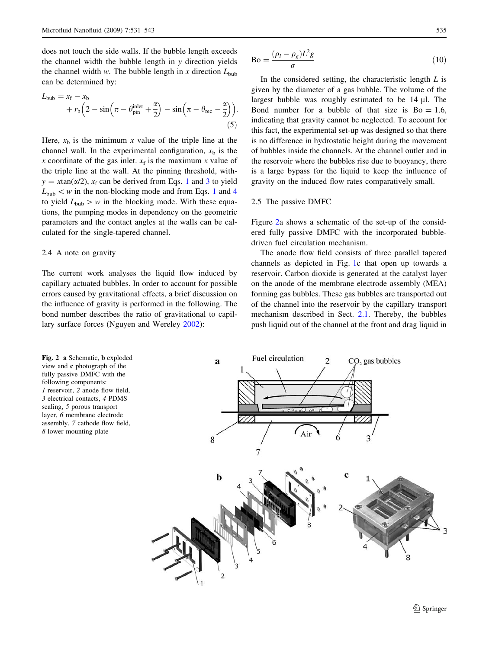<span id="page-4-0"></span>does not touch the side walls. If the bubble length exceeds the channel width the bubble length in y direction yields the channel width w. The bubble length in x direction  $L_{\text{bub}}$ can be determined by:

$$
L_{\text{bub}} = x_{\text{f}} - x_{\text{b}} + r_{\text{b}} \left( 2 - \sin \left( \pi - \theta_{\text{pin}}^{\text{inlet}} + \frac{\alpha}{2} \right) - \sin \left( \pi - \theta_{\text{rec}} - \frac{\alpha}{2} \right) \right).
$$
(5)

Here,  $x<sub>b</sub>$  is the minimum x value of the triple line at the channel wall. In the experimental configuration,  $x<sub>b</sub>$  is the x coordinate of the gas inlet.  $x_f$  is the maximum x value of the triple line at the wall. At the pinning threshold, with $y = x \tan(\alpha/2)$ ,  $x_f$  can be derived from Eqs. [1](#page-3-0) and [3](#page-3-0) to yield  $L_{\text{bub}} < w$  in the non-blocking mode and from Eqs. [1](#page-3-0) and [4](#page-3-0) to yield  $L_{\text{bub}} > w$  in the blocking mode. With these equations, the pumping modes in dependency on the geometric parameters and the contact angles at the walls can be calculated for the single-tapered channel.

#### 2.4 A note on gravity

The current work analyses the liquid flow induced by capillary actuated bubbles. In order to account for possible errors caused by gravitational effects, a brief discussion on the influence of gravity is performed in the following. The bond number describes the ratio of gravitational to capillary surface forces (Nguyen and Wereley [2002](#page-11-0)):

$$
Bo = \frac{(\rho_l - \rho_g)L^2 g}{\sigma} \tag{10}
$$

In the considered setting, the characteristic length  $L$  is given by the diameter of a gas bubble. The volume of the largest bubble was roughly estimated to be 14 ul. The Bond number for a bubble of that size is  $Bo = 1.6$ , indicating that gravity cannot be neglected. To account for this fact, the experimental set-up was designed so that there is no difference in hydrostatic height during the movement of bubbles inside the channels. At the channel outlet and in the reservoir where the bubbles rise due to buoyancy, there is a large bypass for the liquid to keep the influence of gravity on the induced flow rates comparatively small.

#### 2.5 The passive DMFC

Figure 2a shows a schematic of the set-up of the considered fully passive DMFC with the incorporated bubbledriven fuel circulation mechanism.

The anode flow field consists of three parallel tapered channels as depicted in Fig. [1c](#page-2-0) that open up towards a reservoir. Carbon dioxide is generated at the catalyst layer on the anode of the membrane electrode assembly (MEA) forming gas bubbles. These gas bubbles are transported out of the channel into the reservoir by the capillary transport mechanism described in Sect. [2.1.](#page-1-0) Thereby, the bubbles push liquid out of the channel at the front and drag liquid in

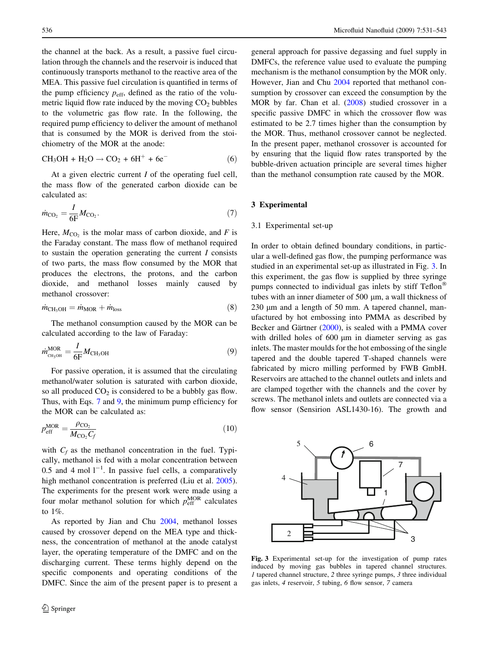<span id="page-5-0"></span>the channel at the back. As a result, a passive fuel circulation through the channels and the reservoir is induced that continuously transports methanol to the reactive area of the MEA. This passive fuel circulation is quantified in terms of the pump efficiency  $p_{\text{eff}}$ , defined as the ratio of the volumetric liquid flow rate induced by the moving  $CO<sub>2</sub>$  bubbles to the volumetric gas flow rate. In the following, the required pump efficiency to deliver the amount of methanol that is consumed by the MOR is derived from the stoichiometry of the MOR at the anode:

$$
CH_3OH + H_2O \rightarrow CO_2 + 6H^+ + 6e^-
$$
 (6)

At a given electric current I of the operating fuel cell, the mass flow of the generated carbon dioxide can be calculated as:

$$
\dot{m}_{\text{CO}_2} = \frac{I}{6F} M_{\text{CO}_2}.\tag{7}
$$

Here,  $M_{\text{CO}_2}$  is the molar mass of carbon dioxide, and F is the Faraday constant. The mass flow of methanol required to sustain the operation generating the current I consists of two parts, the mass flow consumed by the MOR that produces the electrons, the protons, and the carbon dioxide, and methanol losses mainly caused by methanol crossover:

$$
\dot{m}_{\text{CH}_3\text{OH}} = \dot{m}_{\text{MOR}} + \dot{m}_{\text{loss}} \tag{8}
$$

The methanol consumption caused by the MOR can be calculated according to the law of Faraday:

$$
\dot{m}_{\text{CH}_3\text{OH}}^{\text{MOR}} = \frac{I}{6F} M_{\text{CH}_3\text{OH}} \tag{9}
$$

For passive operation, it is assumed that the circulating methanol/water solution is saturated with carbon dioxide, so all produced  $CO<sub>2</sub>$  is considered to be a bubbly gas flow. Thus, with Eqs. 7 and 9, the minimum pump efficiency for the MOR can be calculated as:

$$
p_{\rm eff}^{\rm MOR} = \frac{\rho_{\rm CO_2}}{M_{\rm CO_2} C_f} \tag{10}
$$

with  $C_f$  as the methanol concentration in the fuel. Typically, methanol is fed with a molar concentration between 0.5 and 4 mol  $1^{-1}$ . In passive fuel cells, a comparatively high methanol concentration is preferred (Liu et al. [2005](#page-11-0)). The experiments for the present work were made using a four molar methanol solution for which  $p_{\text{eff}}^{\text{MOR}}$  calculates to 1%.

As reported by Jian and Chu [2004](#page-11-0), methanol losses caused by crossover depend on the MEA type and thickness, the concentration of methanol at the anode catalyst layer, the operating temperature of the DMFC and on the discharging current. These terms highly depend on the specific components and operating conditions of the DMFC. Since the aim of the present paper is to present a general approach for passive degassing and fuel supply in DMFCs, the reference value used to evaluate the pumping mechanism is the methanol consumption by the MOR only. However, Jian and Chu [2004](#page-11-0) reported that methanol consumption by crossover can exceed the consumption by the MOR by far. Chan et al. [\(2008](#page-11-0)) studied crossover in a specific passive DMFC in which the crossover flow was estimated to be 2.7 times higher than the consumption by the MOR. Thus, methanol crossover cannot be neglected. In the present paper, methanol crossover is accounted for by ensuring that the liquid flow rates transported by the bubble-driven actuation principle are several times higher than the methanol consumption rate caused by the MOR.

## 3 Experimental

#### 3.1 Experimental set-up

5

In order to obtain defined boundary conditions, in particular a well-defined gas flow, the pumping performance was studied in an experimental set-up as illustrated in Fig. 3. In this experiment, the gas flow is supplied by three syringe pumps connected to individual gas inlets by stiff Teflon<sup>®</sup> tubes with an inner diameter of 500 µm, a wall thickness of  $230 \mu m$  and a length of 50 mm. A tapered channel, manufactured by hot embossing into PMMA as described by Becker and Gärtner  $(2000)$  $(2000)$  $(2000)$ , is sealed with a PMMA cover with drilled holes of 600  $\mu$ m in diameter serving as gas inlets. The master moulds for the hot embossing of the single tapered and the double tapered T-shaped channels were fabricated by micro milling performed by FWB GmbH. Reservoirs are attached to the channel outlets and inlets and are clamped together with the channels and the cover by screws. The methanol inlets and outlets are connected via a flow sensor (Sensirion ASL1430-16). The growth and



6

Fig. 3 Experimental set-up for the investigation of pump rates induced by moving gas bubbles in tapered channel structures. 1 tapered channel structure, 2 three syringe pumps, 3 three individual gas inlets, 4 reservoir, 5 tubing, 6 flow sensor, 7 camera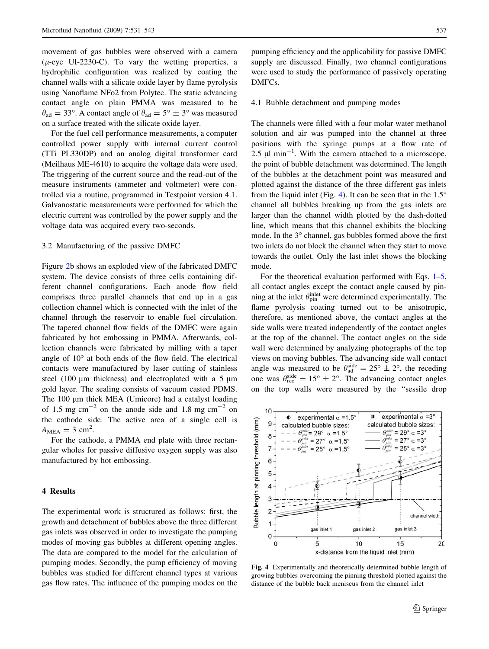<span id="page-6-0"></span>movement of gas bubbles were observed with a camera ( $\mu$ -eye UI-2230-C). To vary the wetting properties, a hydrophilic configuration was realized by coating the channel walls with a silicate oxide layer by flame pyrolysis using Nanoflame NFo2 from Polytec. The static advancing contact angle on plain PMMA was measured to be  $\theta_{\text{ad}} = 33^{\circ}$ . A contact angle of  $\theta_{\text{ad}} = 5^{\circ} \pm 3^{\circ}$  was measured on a surface treated with the silicate oxide layer.

For the fuel cell performance measurements, a computer controlled power supply with internal current control (TTi PL330DP) and an analog digital transformer card (Meilhaus ME-4610) to acquire the voltage data were used. The triggering of the current source and the read-out of the measure instruments (ammeter and voltmeter) were controlled via a routine, programmed in Testpoint version 4.1. Galvanostatic measurements were performed for which the electric current was controlled by the power supply and the voltage data was acquired every two-seconds.

#### 3.2 Manufacturing of the passive DMFC

Figure [2](#page-4-0)b shows an exploded view of the fabricated DMFC system. The device consists of three cells containing different channel configurations. Each anode flow field comprises three parallel channels that end up in a gas collection channel which is connected with the inlet of the channel through the reservoir to enable fuel circulation. The tapered channel flow fields of the DMFC were again fabricated by hot embossing in PMMA. Afterwards, collection channels were fabricated by milling with a taper angle of  $10^{\circ}$  at both ends of the flow field. The electrical contacts were manufactured by laser cutting of stainless steel (100  $\mu$ m thickness) and electroplated with a 5  $\mu$ m gold layer. The sealing consists of vacuum casted PDMS. The 100 µm thick MEA (Umicore) had a catalyst loading of 1.5 mg cm<sup>-2</sup> on the anode side and 1.8 mg cm<sup>-2</sup> on the cathode side. The active area of a single cell is  $A_{\text{MEA}} = 3 \text{ cm}^2$ .

For the cathode, a PMMA end plate with three rectangular wholes for passive diffusive oxygen supply was also manufactured by hot embossing.

## 4 Results

The experimental work is structured as follows: first, the growth and detachment of bubbles above the three different gas inlets was observed in order to investigate the pumping modes of moving gas bubbles at different opening angles. The data are compared to the model for the calculation of pumping modes. Secondly, the pump efficiency of moving bubbles was studied for different channel types at various gas flow rates. The influence of the pumping modes on the

pumping efficiency and the applicability for passive DMFC supply are discussed. Finally, two channel configurations were used to study the performance of passively operating DMFCs.

# 4.1 Bubble detachment and pumping modes

The channels were filled with a four molar water methanol solution and air was pumped into the channel at three positions with the syringe pumps at a flow rate of 2.5  $\mu$ l min<sup>-1</sup>. With the camera attached to a microscope, the point of bubble detachment was determined. The length of the bubbles at the detachment point was measured and plotted against the distance of the three different gas inlets from the liquid inlet (Fig. 4). It can be seen that in the  $1.5^{\circ}$ channel all bubbles breaking up from the gas inlets are larger than the channel width plotted by the dash-dotted line, which means that this channel exhibits the blocking mode. In the 3° channel, gas bubbles formed above the first two inlets do not block the channel when they start to move towards the outlet. Only the last inlet shows the blocking mode.

For the theoretical evaluation performed with Eqs. [1–](#page-3-0)[5,](#page-4-0) all contact angles except the contact angle caused by pinning at the inlet  $\theta_{\text{pin}}^{\text{inlet}}$  were determined experimentally. The flame pyrolysis coating turned out to be anisotropic, therefore, as mentioned above, the contact angles at the side walls were treated independently of the contact angles at the top of the channel. The contact angles on the side wall were determined by analyzing photographs of the top views on moving bubbles. The advancing side wall contact angle was measured to be  $\theta_{ad}^{side} = 25^\circ \pm 2^\circ$ , the receding one was  $\theta_{\text{rec}}^{\text{side}} = 15^{\circ} \pm 2^{\circ}$ . The advancing contact angles on the top walls were measured by the ''sessile drop



Fig. 4 Experimentally and theoretically determined bubble length of growing bubbles overcoming the pinning threshold plotted against the distance of the bubble back meniscus from the channel inlet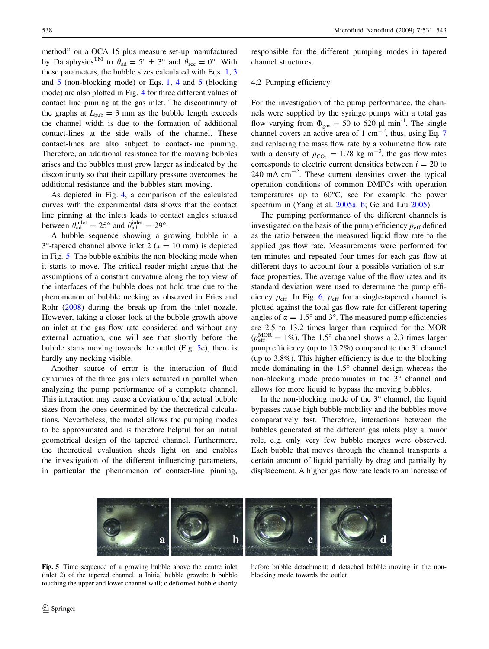method'' on a OCA 15 plus measure set-up manufactured by Dataphysics<sup>TM</sup> to  $\theta_{ad} = 5^{\circ} \pm 3^{\circ}$  and  $\theta_{rec} = 0^{\circ}$ . With these parameters, the bubble sizes calculated with Eqs. [1](#page-3-0), [3](#page-3-0) and [5](#page-4-0) (non-blocking mode) or Eqs. [1](#page-3-0), [4](#page-3-0) and [5](#page-4-0) (blocking mode) are also plotted in Fig. [4](#page-6-0) for three different values of contact line pinning at the gas inlet. The discontinuity of the graphs at  $L_{\text{bub}} = 3$  mm as the bubble length exceeds the channel width is due to the formation of additional contact-lines at the side walls of the channel. These contact-lines are also subject to contact-line pinning. Therefore, an additional resistance for the moving bubbles arises and the bubbles must grow larger as indicated by the discontinuity so that their capillary pressure overcomes the additional resistance and the bubbles start moving.

As depicted in Fig. [4](#page-6-0), a comparison of the calculated curves with the experimental data shows that the contact line pinning at the inlets leads to contact angles situated between  $\theta_{ad}^{inlet} = 25^{\circ}$  and  $\theta_{ad}^{inlet} = 29^{\circ}$ .

A bubble sequence showing a growing bubble in a  $3^{\circ}$ -tapered channel above inlet 2 ( $x = 10$  mm) is depicted in Fig. 5. The bubble exhibits the non-blocking mode when it starts to move. The critical reader might argue that the assumptions of a constant curvature along the top view of the interfaces of the bubble does not hold true due to the phenomenon of bubble necking as observed in Fries and Rohr [\(2008](#page-11-0)) during the break-up from the inlet nozzle. However, taking a closer look at the bubble growth above an inlet at the gas flow rate considered and without any external actuation, one will see that shortly before the bubble starts moving towards the outlet (Fig. 5c), there is hardly any necking visible.

Another source of error is the interaction of fluid dynamics of the three gas inlets actuated in parallel when analyzing the pump performance of a complete channel. This interaction may cause a deviation of the actual bubble sizes from the ones determined by the theoretical calculations. Nevertheless, the model allows the pumping modes to be approximated and is therefore helpful for an initial geometrical design of the tapered channel. Furthermore, the theoretical evaluation sheds light on and enables the investigation of the different influencing parameters, in particular the phenomenon of contact-line pinning, responsible for the different pumping modes in tapered channel structures.

## 4.2 Pumping efficiency

For the investigation of the pump performance, the channels were supplied by the syringe pumps with a total gas flow varying from  $\Phi_{\rm gas} = 50$  to 620  $\mu$ l min<sup>-1</sup>. The single channel covers an active area of 1 cm<sup>-2</sup>, thus, using Eq. [7](#page-5-0) and replacing the mass flow rate by a volumetric flow rate with a density of  $\rho_{\text{CO}_2} = 1.78 \text{ kg m}^{-3}$ , the gas flow rates corresponds to electric current densities between  $i = 20$  to  $240 \text{ mA cm}^{-2}$ . These current densities cover the typical operation conditions of common DMFCs with operation temperatures up to  $60^{\circ}$ C, see for example the power spectrum in (Yang et al. [2005a,](#page-12-0) [b](#page-12-0); Ge and Liu [2005\)](#page-11-0).

The pumping performance of the different channels is investigated on the basis of the pump efficiency  $p_{\text{eff}}$  defined as the ratio between the measured liquid flow rate to the applied gas flow rate. Measurements were performed for ten minutes and repeated four times for each gas flow at different days to account four a possible variation of surface properties. The average value of the flow rates and its standard deviation were used to determine the pump efficiency  $p_{\text{eff}}$ . In Fig. [6,](#page-8-0)  $p_{\text{eff}}$  for a single-tapered channel is plotted against the total gas flow rate for different tapering angles of  $\alpha = 1.5^{\circ}$  and 3°. The measured pump efficiencies are 2.5 to 13.2 times larger than required for the MOR  $(p_{\text{eff}}^{\text{MOR}} = 1\%)$ . The 1.5° channel shows a 2.3 times larger pump efficiency (up to  $13.2\%$ ) compared to the  $3^{\circ}$  channel (up to 3.8%). This higher efficiency is due to the blocking mode dominating in the  $1.5^{\circ}$  channel design whereas the non-blocking mode predominates in the  $3^\circ$  channel and allows for more liquid to bypass the moving bubbles.

In the non-blocking mode of the  $3^\circ$  channel, the liquid bypasses cause high bubble mobility and the bubbles move comparatively fast. Therefore, interactions between the bubbles generated at the different gas inlets play a minor role, e.g. only very few bubble merges were observed. Each bubble that moves through the channel transports a certain amount of liquid partially by drag and partially by displacement. A higher gas flow rate leads to an increase of



Fig. 5 Time sequence of a growing bubble above the centre inlet (inlet 2) of the tapered channel. a Initial bubble growth; b bubble touching the upper and lower channel wall; c deformed bubble shortly

before bubble detachment; d detached bubble moving in the nonblocking mode towards the outlet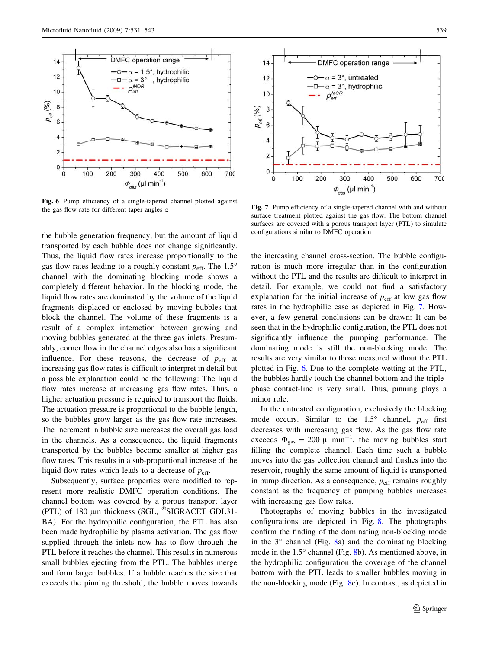<span id="page-8-0"></span>

Fig. 6 Pump efficiency of a single-tapered channel plotted against the gas flow rate for different taper angles  $\alpha$  Fig. 7 Pump efficiency of a single-tapered channel with and without

the bubble generation frequency, but the amount of liquid transported by each bubble does not change significantly. Thus, the liquid flow rates increase proportionally to the gas flow rates leading to a roughly constant  $p_{\text{eff}}$ . The 1.5° channel with the dominating blocking mode shows a completely different behavior. In the blocking mode, the liquid flow rates are dominated by the volume of the liquid fragments displaced or enclosed by moving bubbles that block the channel. The volume of these fragments is a result of a complex interaction between growing and moving bubbles generated at the three gas inlets. Presumably, corner flow in the channel edges also has a significant influence. For these reasons, the decrease of  $p_{\text{eff}}$  at increasing gas flow rates is difficult to interpret in detail but a possible explanation could be the following: The liquid flow rates increase at increasing gas flow rates. Thus, a higher actuation pressure is required to transport the fluids. The actuation pressure is proportional to the bubble length, so the bubbles grow larger as the gas flow rate increases. The increment in bubble size increases the overall gas load in the channels. As a consequence, the liquid fragments transported by the bubbles become smaller at higher gas flow rates. This results in a sub-proportional increase of the liquid flow rates which leads to a decrease of  $p_{\text{eff}}$ .

Subsequently, surface properties were modified to represent more realistic DMFC operation conditions. The channel bottom was covered by a porous transport layer (PTL) of 180  $\mu$ m thickness (SGL,  $\textdegree$ SIGRACET GDL31-BA). For the hydrophilic configuration, the PTL has also been made hydrophilic by plasma activation. The gas flow supplied through the inlets now has to flow through the PTL before it reaches the channel. This results in numerous small bubbles ejecting from the PTL. The bubbles merge and form larger bubbles. If a bubble reaches the size that exceeds the pinning threshold, the bubble moves towards



surface treatment plotted against the gas flow. The bottom channel surfaces are covered with a porous transport layer (PTL) to simulate configurations similar to DMFC operation

the increasing channel cross-section. The bubble configuration is much more irregular than in the configuration without the PTL and the results are difficult to interpret in detail. For example, we could not find a satisfactory explanation for the initial increase of  $p_{\text{eff}}$  at low gas flow rates in the hydrophilic case as depicted in Fig. 7. However, a few general conclusions can be drawn: It can be seen that in the hydrophilic configuration, the PTL does not significantly influence the pumping performance. The dominating mode is still the non-blocking mode. The results are very similar to those measured without the PTL plotted in Fig. 6. Due to the complete wetting at the PTL, the bubbles hardly touch the channel bottom and the triplephase contact-line is very small. Thus, pinning plays a minor role.

In the untreated configuration, exclusively the blocking mode occurs. Similar to the  $1.5^{\circ}$  channel,  $p_{\text{eff}}$  first decreases with increasing gas flow. As the gas flow rate exceeds  $\Phi_{\rm gas} = 200 \mu l \text{ min}^{-1}$ , the moving bubbles start filling the complete channel. Each time such a bubble moves into the gas collection channel and flushes into the reservoir, roughly the same amount of liquid is transported in pump direction. As a consequence,  $p_{\text{eff}}$  remains roughly constant as the frequency of pumping bubbles increases with increasing gas flow rates.

Photographs of moving bubbles in the investigated configurations are depicted in Fig. [8.](#page-9-0) The photographs confirm the finding of the dominating non-blocking mode in the  $3^\circ$  channel (Fig. [8a](#page-9-0)) and the dominating blocking mode in the  $1.5^{\circ}$  channel (Fig. [8b](#page-9-0)). As mentioned above, in the hydrophilic configuration the coverage of the channel bottom with the PTL leads to smaller bubbles moving in the non-blocking mode (Fig. [8c](#page-9-0)). In contrast, as depicted in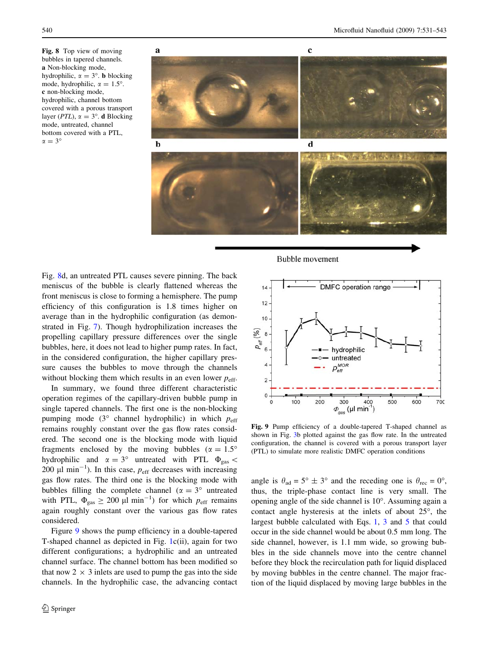<span id="page-9-0"></span>Fig. 8 Top view of moving bubbles in tapered channels. a Non-blocking mode, hydrophilic,  $\alpha = 3^{\circ}$ . **b** blocking mode, hydrophilic,  $\alpha = 1.5^{\circ}$ . c non-blocking mode, hydrophilic, channel bottom covered with a porous transport layer (*PTL*),  $\alpha = 3^{\circ}$ . **d** Blocking mode, untreated, channel bottom covered with a PTL,  $\alpha = 3^{\circ}$ 



Fig. 8d, an untreated PTL causes severe pinning. The back meniscus of the bubble is clearly flattened whereas the front meniscus is close to forming a hemisphere. The pump efficiency of this configuration is 1.8 times higher on average than in the hydrophilic configuration (as demonstrated in Fig. [7\)](#page-8-0). Though hydrophilization increases the propelling capillary pressure differences over the single bubbles, here, it does not lead to higher pump rates. In fact, in the considered configuration, the higher capillary pressure causes the bubbles to move through the channels without blocking them which results in an even lower  $p_{\text{eff}}$ .

In summary, we found three different characteristic operation regimes of the capillary-driven bubble pump in single tapered channels. The first one is the non-blocking pumping mode  $(3^{\circ}$  channel hydrophilic) in which  $p_{\text{eff}}$ remains roughly constant over the gas flow rates considered. The second one is the blocking mode with liquid fragments enclosed by the moving bubbles ( $\alpha = 1.5^{\circ}$ ) hydrophilic and  $\alpha = 3^{\circ}$  untreated with PTL  $\Phi_{\rm gas}$  < 200  $\mu$ l min<sup>-1</sup>). In this case,  $p_{\text{eff}}$  decreases with increasing gas flow rates. The third one is the blocking mode with bubbles filling the complete channel ( $\alpha = 3^{\circ}$  untreated with PTL,  $\Phi_{\rm gas} \geq 200 \mu l \text{ min}^{-1}$  for which  $p_{\rm eff}$  remains again roughly constant over the various gas flow rates considered.

Figure 9 shows the pump efficiency in a double-tapered T-shaped channel as depicted in Fig. [1](#page-2-0)c(ii), again for two different configurations; a hydrophilic and an untreated channel surface. The channel bottom has been modified so that now  $2 \times 3$  inlets are used to pump the gas into the side channels. In the hydrophilic case, the advancing contact

Bubble movement



Fig. 9 Pump efficiency of a double-tapered T-shaped channel as shown in Fig. [3b](#page-5-0) plotted against the gas flow rate. In the untreated configuration, the channel is covered with a porous transport layer (PTL) to simulate more realistic DMFC operation conditions

angle is  $\theta_{ad} = 5^\circ \pm 3^\circ$  and the receding one is  $\theta_{rec} = 0^\circ$ , thus, the triple-phase contact line is very small. The opening angle of the side channel is  $10^{\circ}$ . Assuming again a contact angle hysteresis at the inlets of about  $25^\circ$ , the largest bubble calculated with Eqs. [1](#page-3-0), [3](#page-3-0) and [5](#page-4-0) that could occur in the side channel would be about 0.5 mm long. The side channel, however, is 1.1 mm wide, so growing bubbles in the side channels move into the centre channel before they block the recirculation path for liquid displaced by moving bubbles in the centre channel. The major fraction of the liquid displaced by moving large bubbles in the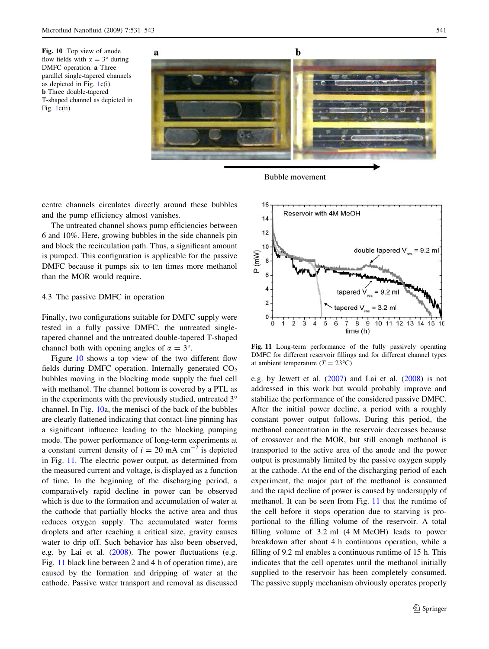<span id="page-10-0"></span>

**Bubble movement** 

centre channels circulates directly around these bubbles and the pump efficiency almost vanishes.

The untreated channel shows pump efficiencies between 6 and 10%. Here, growing bubbles in the side channels pin and block the recirculation path. Thus, a significant amount is pumped. This configuration is applicable for the passive DMFC because it pumps six to ten times more methanol than the MOR would require.

# 4.3 The passive DMFC in operation

Finally, two configurations suitable for DMFC supply were tested in a fully passive DMFC, the untreated singletapered channel and the untreated double-tapered T-shaped channel both with opening angles of  $\alpha = 3^{\circ}$ .

Figure 10 shows a top view of the two different flow fields during DMFC operation. Internally generated  $CO<sub>2</sub>$ bubbles moving in the blocking mode supply the fuel cell with methanol. The channel bottom is covered by a PTL as in the experiments with the previously studied, untreated  $3^\circ$ channel. In Fig. 10a, the menisci of the back of the bubbles are clearly flattened indicating that contact-line pinning has a significant influence leading to the blocking pumping mode. The power performance of long-term experiments at a constant current density of  $i = 20$  mA cm<sup>-2</sup> is depicted in Fig. 11. The electric power output, as determined from the measured current and voltage, is displayed as a function of time. In the beginning of the discharging period, a comparatively rapid decline in power can be observed which is due to the formation and accumulation of water at the cathode that partially blocks the active area and thus reduces oxygen supply. The accumulated water forms droplets and after reaching a critical size, gravity causes water to drip off. Such behavior has also been observed, e.g. by Lai et al. ([2008](#page-11-0)). The power fluctuations (e.g. Fig. 11 black line between 2 and 4 h of operation time), are caused by the formation and dripping of water at the cathode. Passive water transport and removal as discussed



Fig. 11 Long-term performance of the fully passively operating DMFC for different reservoir fillings and for different channel types at ambient temperature  $(T = 23^{\circ}C)$ 

e.g. by Jewett et al. ([2007\)](#page-11-0) and Lai et al. ([2008\)](#page-11-0) is not addressed in this work but would probably improve and stabilize the performance of the considered passive DMFC. After the initial power decline, a period with a roughly constant power output follows. During this period, the methanol concentration in the reservoir decreases because of crossover and the MOR, but still enough methanol is transported to the active area of the anode and the power output is presumably limited by the passive oxygen supply at the cathode. At the end of the discharging period of each experiment, the major part of the methanol is consumed and the rapid decline of power is caused by undersupply of methanol. It can be seen from Fig. 11 that the runtime of the cell before it stops operation due to starving is proportional to the filling volume of the reservoir. A total filling volume of 3.2 ml (4 M MeOH) leads to power breakdown after about 4 h continuous operation, while a filling of 9.2 ml enables a continuous runtime of 15 h. This indicates that the cell operates until the methanol initially supplied to the reservoir has been completely consumed. The passive supply mechanism obviously operates properly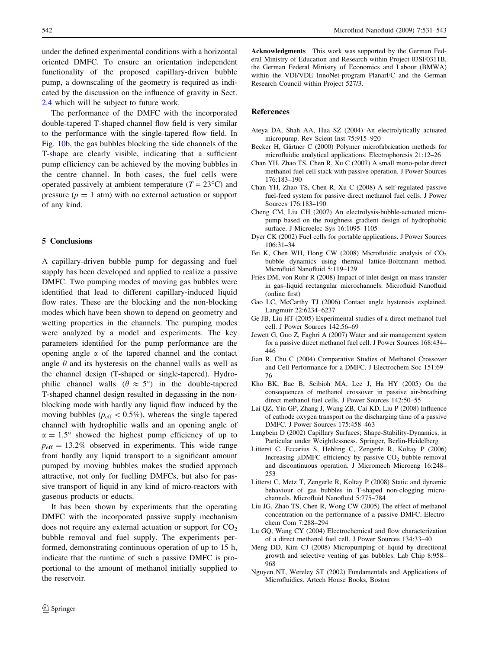<span id="page-11-0"></span>under the defined experimental conditions with a horizontal oriented DMFC. To ensure an orientation independent functionality of the proposed capillary-driven bubble pump, a downscaling of the geometry is required as indicated by the discussion on the influence of gravity in Sect. [2.4](#page-4-0) which will be subject to future work.

The performance of the DMFC with the incorporated double-tapered T-shaped channel flow field is very similar to the performance with the single-tapered flow field. In Fig. [10](#page-10-0)b, the gas bubbles blocking the side channels of the T-shape are clearly visible, indicating that a sufficient pump efficiency can be achieved by the moving bubbles in the centre channel. In both cases, the fuel cells were operated passively at ambient temperature  $(T = 23^{\circ}C)$  and pressure  $(p = 1$  atm) with no external actuation or support of any kind.

## 5 Conclusions

A capillary-driven bubble pump for degassing and fuel supply has been developed and applied to realize a passive DMFC. Two pumping modes of moving gas bubbles were identified that lead to different capillary-induced liquid flow rates. These are the blocking and the non-blocking modes which have been shown to depend on geometry and wetting properties in the channels. The pumping modes were analyzed by a model and experiments. The key parameters identified for the pump performance are the opening angle  $\alpha$  of the tapered channel and the contact angle  $\theta$  and its hysteresis on the channel walls as well as the channel design (T-shaped or single-tapered). Hydrophilic channel walls ( $\theta \approx 5^{\circ}$ ) in the double-tapered T-shaped channel design resulted in degassing in the nonblocking mode with hardly any liquid flow induced by the moving bubbles ( $p_{\text{eff}} < 0.5\%$ ), whereas the single tapered channel with hydrophilic walls and an opening angle of  $\alpha = 1.5^{\circ}$  showed the highest pump efficiency of up to  $p_{\text{eff}} = 13.2\%$  observed in experiments. This wide range from hardly any liquid transport to a significant amount pumped by moving bubbles makes the studied approach attractive, not only for fuelling DMFCs, but also for passive transport of liquid in any kind of micro-reactors with gaseous products or educts.

It has been shown by experiments that the operating DMFC with the incorporated passive supply mechanism does not require any external actuation or support for  $CO<sub>2</sub>$ bubble removal and fuel supply. The experiments performed, demonstrating continuous operation of up to 15 h, indicate that the runtime of such a passive DMFC is proportional to the amount of methanol initially supplied to the reservoir.

Acknowledgments This work was supported by the German Federal Ministry of Education and Research within Project 03SF0311B, the German Federal Ministry of Economics and Labour (BMWA) within the VDI/VDE InnoNet-program PlanarFC and the German Research Council within Project 527/3.

### References

- Ateya DA, Shah AA, Hua SZ (2004) An electrolytically actuated micropump. Rev Scient Inst 75:915–920
- Becker H, Gärtner C (2000) Polymer microfabrication methods for microfluidic analytical applications. Electrophoresis 21:12–26
- Chan YH, Zhao TS, Chen R, Xu C (2007) A small mono-polar direct methanol fuel cell stack with passive operation. J Power Sources 176:183–190
- Chan YH, Zhao TS, Chen R, Xu C (2008) A self-regulated passive fuel-feed system for passive direct methanol fuel cells. J Power Sources 176:183–190
- Cheng CM, Liu CH (2007) An electrolysis-bubble-actuated micropump based on the roughness gradient design of hydrophobic surface. J Microelec Sys 16:1095–1105
- Dyer CK (2002) Fuel cells for portable applications. J Power Sources 106:31–34
- Fei K, Chen WH, Hong CW (2008) Microfluidic analysis of  $CO<sub>2</sub>$ bubble dynamics using thermal lattice-Boltzmann method. Microfluid Nanofluid 5:119–129
- Fries DM, von Rohr R (2008) Impact of inlet design on mass transfer in gas–liquid rectangular microchannels. Microfluid Nanofluid (online first)
- Gao LC, McCarthy TJ (2006) Contact angle hysteresis explained. Langmuir 22:6234–6237
- Ge JB, Liu HT (2005) Experimental studies of a direct methanol fuel cell. J Power Sources 142:56–69
- Jewett G, Guo Z, Faghri A (2007) Water and air management system for a passive direct methanol fuel cell. J Power Sources 168:434– 446
- Jian R, Chu C (2004) Comparative Studies of Methanol Crossover and Cell Performance for a DMFC. J Electrochem Soc 151:69– 76
- Kho BK, Bae B, Scibioh MA, Lee J, Ha HY (2005) On the consequences of methanol crossover in passive air-breathing direct methanol fuel cells. J Power Sources 142:50–55
- Lai QZ, Yin GP, Zhang J, Wang ZB, Cai KD, Liu P (2008) Influence of cathode oxygen transport on the discharging time of a passive DMFC. J Power Sources 175:458–463
- Langbein D (2002) Capillary Surfaces; Shape-Stability-Dynamics, in Particular under Weightlessness. Springer, Berlin-Heidelberg
- Litterst C, Eccarius S, Hebling C, Zengerle R, Koltay P (2006) Increasing  $\mu$ DMFC efficiency by passive CO<sub>2</sub> bubble removal and discontinuous operation. J Micromech Microeng 16:248– 253
- Litterst C, Metz T, Zengerle R, Koltay P (2008) Static and dynamic behaviour of gas bubbles in T-shaped non-clogging microchannels. Microfluid Nanofluid 5:775–784
- Liu JG, Zhao TS, Chen R, Wong CW (2005) The effect of methanol concentration on the performance of a passive DMFC. Electrochem Com 7:288–294
- Lu GQ, Wang CY (2004) Electrochemical and flow characterization of a direct methanol fuel cell. J Power Sources 134:33–40
- Meng DD, Kim CJ (2008) Micropumping of liquid by directional growth and selective venting of gas bubbles. Lab Chip 8:958– 968
- Nguyen NT, Wereley ST (2002) Fundamentals and Applications of Microfluidics. Artech House Books, Boston